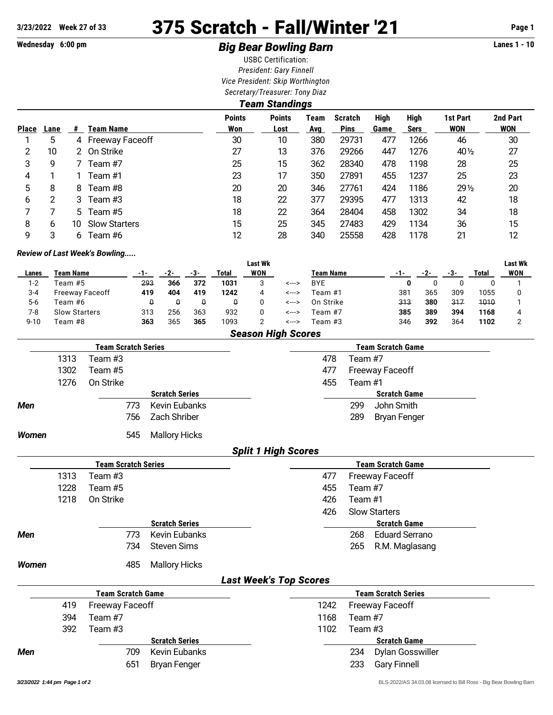## **3/23/2022 Week 27 of 33** 375 Scratch - Fall/Winter '21 **Page 1**

## **Wednesday 6:00 pm Big Bear Bowling Barn Lanes 1 - 10**

USBC Certification: *President: Gary Finnell Vice President: Skip Worthington Secretary/Treasurer: Tony Diaz*

|              | Team Standings |    |                      |                      |                       |             |                               |              |                            |                        |                        |  |  |
|--------------|----------------|----|----------------------|----------------------|-----------------------|-------------|-------------------------------|--------------|----------------------------|------------------------|------------------------|--|--|
| <b>Place</b> | Lane           | #  | Team Name            | <b>Points</b><br>Won | <b>Points</b><br>Lost | Team<br>Avg | <b>Scratch</b><br><b>Pins</b> | High<br>Game | <b>High</b><br><b>Sers</b> | 1st Part<br><b>WON</b> | 2nd Part<br><b>WON</b> |  |  |
|              | 5              |    | 4 Freeway Faceoff    | 30                   | 10                    | 380         | 29731                         | 477          | 1266                       | 46                     | 30                     |  |  |
| 2            | 10             | 2. | On Strike            | 27                   | 13                    | 376         | 29266                         | 447          | 1276                       | 40 $\frac{1}{2}$       | 27                     |  |  |
| 3            | 9              |    | Team #7              | 25                   | 15                    | 362         | 28340                         | 478          | 1198                       | 28                     | 25                     |  |  |
| 4            |                |    | Team #1              | 23                   | 17                    | 350         | 27891                         | 455          | 1237                       | 25                     | 23                     |  |  |
| 5            | 8              | 8  | Team #8              | 20                   | 20                    | 346         | 27761                         | 424          | 1186                       | $29\frac{1}{2}$        | 20                     |  |  |
| 6            | 2              | 3  | Team #3              | 18                   | 22                    | 377         | 29395                         | 477          | 1313                       | 42                     | 18                     |  |  |
|              |                | 5. | Team #5              | 18                   | 22                    | 364         | 28404                         | 458          | 1302                       | 34                     | 18                     |  |  |
| 8            | 6              | 10 | <b>Slow Starters</b> | 15                   | 25                    | 345         | 27483                         | 429          | 1134                       | 36                     | 15                     |  |  |
| 9            | 3              | 6  | Team #6              | 12                   | 28                    | 340         | 25558                         | 428          | 1178                       | 21                     | 12                     |  |  |

## *Review of Last Week's Bowling.....*

|          |                           |     |     |     |       | <b>Last Wk</b> |       |                  |     |     |     |       | <b>Last Wk</b> |
|----------|---------------------------|-----|-----|-----|-------|----------------|-------|------------------|-----|-----|-----|-------|----------------|
| Lanes    | Team Name                 | -1- | -2- | -3- | Total | WON            |       | <b>Team Name</b> |     | -2- | -3- | Total | WON            |
| $1 - 2$  | Feam #5                   | 293 | 366 | 372 | 1031  | 3              | <---> | <b>BYE</b>       |     |     |     |       |                |
| $3 - 4$  | <b>Freeway Faceoff</b>    | 419 | 404 | 419 | 1242  | 4              | <---> | Team #1          | 381 | 365 | 309 | 1055  |                |
| 5-6      | Team #6                   |     | u   | Q   | Q     |                | <---> | On Strike        | 313 | 380 | 317 | 1010  |                |
| 7-8      | <b>Slow Starters</b>      | 313 | 256 | 363 | 932   |                | <---> | Team #7          | 385 | 389 | 394 | 1168  |                |
| $9 - 10$ | Team #8                   | 363 | 365 | 365 | 1093  |                | <---> | Team #3          | 346 | 392 | 364 | 1102  |                |
|          | <b>Season High Scores</b> |     |     |     |       |                |       |                  |     |     |     |       |                |

|              |      | <b>Team Scratch Series</b> |                       | <b>Team Scratch Game</b>       |
|--------------|------|----------------------------|-----------------------|--------------------------------|
|              | 1313 | Team #3                    |                       | Team #7<br>478                 |
|              | 1302 | Team #5                    |                       | 477<br><b>Freeway Faceoff</b>  |
|              | 1276 | On Strike                  |                       | 455<br>Team #1                 |
|              |      |                            | <b>Scratch Series</b> | <b>Scratch Game</b>            |
| <b>Men</b>   |      | 773                        | <b>Kevin Eubanks</b>  | John Smith<br>299              |
|              |      | 756                        | Zach Shriber          | 289<br><b>Bryan Fenger</b>     |
| <b>Women</b> |      | 545                        | <b>Mallory Hicks</b>  |                                |
|              |      |                            |                       | <b>Split 1 High Scores</b>     |
|              |      | <b>Team Scratch Series</b> |                       | <b>Team Scratch Game</b>       |
|              | 1313 | Team #3                    |                       | 477<br><b>Freeway Faceoff</b>  |
|              | 1228 | Team #5                    |                       | Team #7<br>455                 |
|              | 1218 | On Strike                  |                       | 426<br>Team #1                 |
|              |      |                            |                       | <b>Slow Starters</b><br>426    |
|              |      |                            | <b>Scratch Series</b> | <b>Scratch Game</b>            |
| <b>Men</b>   |      | 773                        | Kevin Eubanks         | <b>Eduard Serrano</b><br>268   |
|              |      | 734                        | <b>Steven Sims</b>    | 265<br>R.M. Maglasang          |
| <b>Women</b> |      | 485                        | <b>Mallory Hicks</b>  |                                |
|              |      |                            |                       | <b>Last Week's Top Scores</b>  |
|              |      | <b>Team Scratch Game</b>   |                       | <b>Team Scratch Series</b>     |
|              | 419  | <b>Freeway Faceoff</b>     |                       | 1242<br><b>Freeway Faceoff</b> |
|              | 394  | Team #7                    |                       | 1168<br>Team #7                |
|              | 392  | Team #3                    |                       | 1102<br>Team #3                |
|              |      |                            | <b>Scratch Series</b> | <b>Scratch Game</b>            |
| <b>Men</b>   |      | 709                        | <b>Kevin Eubanks</b>  | 234<br><b>Dylan Gosswiller</b> |
|              |      | 651                        | <b>Bryan Fenger</b>   | 233<br><b>Gary Finnell</b>     |